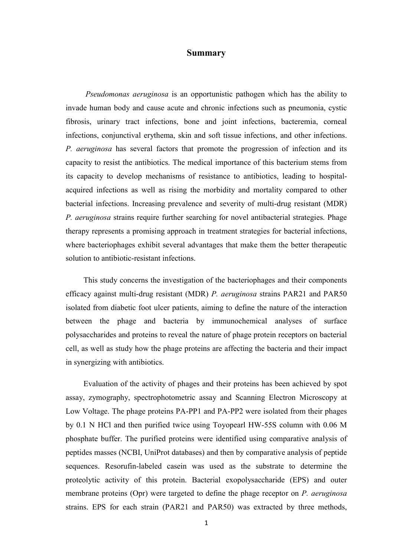## Summary

 Pseudomonas aeruginosa is an opportunistic pathogen which has the ability to invade human body and cause acute and chronic infections such as pneumonia, cystic fibrosis, urinary tract infections, bone and joint infections, bacteremia, corneal infections, conjunctival erythema, skin and soft tissue infections, and other infections. P. aeruginosa has several factors that promote the progression of infection and its capacity to resist the antibiotics. The medical importance of this bacterium stems from its capacity to develop mechanisms of resistance to antibiotics, leading to hospitalacquired infections as well as rising the morbidity and mortality compared to other bacterial infections. Increasing prevalence and severity of multi-drug resistant (MDR) P. aeruginosa strains require further searching for novel antibacterial strategies. Phage therapy represents a promising approach in treatment strategies for bacterial infections, where bacteriophages exhibit several advantages that make them the better therapeutic solution to antibiotic-resistant infections.

 This study concerns the investigation of the bacteriophages and their components efficacy against multi-drug resistant (MDR) P. aeruginosa strains PAR21 and PAR50 isolated from diabetic foot ulcer patients, aiming to define the nature of the interaction between the phage and bacteria by immunochemical analyses of surface polysaccharides and proteins to reveal the nature of phage protein receptors on bacterial cell, as well as study how the phage proteins are affecting the bacteria and their impact in synergizing with antibiotics.

 Evaluation of the activity of phages and their proteins has been achieved by spot assay, zymography, spectrophotometric assay and Scanning Electron Microscopy at Low Voltage. The phage proteins PA-PP1 and PA-PP2 were isolated from their phages by 0.1 N HCl and then purified twice using Toyopearl HW-55S column with 0.06 M phosphate buffer. The purified proteins were identified using comparative analysis of peptides masses (NCBI, UniProt databases) and then by comparative analysis of peptide sequences. Resorufin-labeled casein was used as the substrate to determine the proteolytic activity of this protein. Bacterial exopolysaccharide (EPS) and outer membrane proteins (Opr) were targeted to define the phage receptor on P. *aeruginosa* strains. EPS for each strain (PAR21 and PAR50) was extracted by three methods,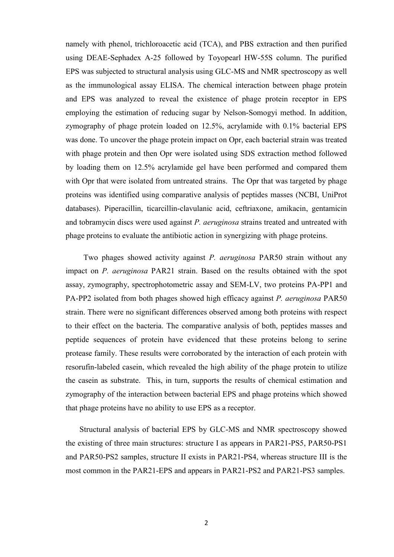namely with phenol, trichloroacetic acid (TCA), and PBS extraction and then purified using DEAE-Sephadex A-25 followed by Toyopearl HW-55S column. The purified EPS was subjected to structural analysis using GLC-MS and NMR spectroscopy as well as the immunological assay ELISA. The chemical interaction between phage protein and EPS was analyzed to reveal the existence of phage protein receptor in EPS employing the estimation of reducing sugar by Nelson-Somogyi method. In addition, zymography of phage protein loaded on 12.5%, acrylamide with 0.1% bacterial EPS was done. To uncover the phage protein impact on Opr, each bacterial strain was treated with phage protein and then Opr were isolated using SDS extraction method followed by loading them on 12.5% acrylamide gel have been performed and compared them with Opr that were isolated from untreated strains. The Opr that was targeted by phage proteins was identified using comparative analysis of peptides masses (NCBI, UniProt databases). Piperacillin, ticarcillin-clavulanic acid, ceftriaxone, amikacin, gentamicin and tobramycin discs were used against P. *aeruginosa* strains treated and untreated with phage proteins to evaluate the antibiotic action in synergizing with phage proteins.

 Two phages showed activity against P. aeruginosa PAR50 strain without any impact on P. aeruginosa PAR21 strain. Based on the results obtained with the spot assay, zymography, spectrophotometric assay and SEM-LV, two proteins PA-PP1 and PA-PP2 isolated from both phages showed high efficacy against P. aeruginosa PAR50 strain. There were no significant differences observed among both proteins with respect to their effect on the bacteria. The comparative analysis of both, peptides masses and peptide sequences of protein have evidenced that these proteins belong to serine protease family. These results were corroborated by the interaction of each protein with resorufin-labeled casein, which revealed the high ability of the phage protein to utilize the casein as substrate. This, in turn, supports the results of chemical estimation and zymography of the interaction between bacterial EPS and phage proteins which showed that phage proteins have no ability to use EPS as a receptor.

 Structural analysis of bacterial EPS by GLC-MS and NMR spectroscopy showed the existing of three main structures: structure I as appears in PAR21-PS5, PAR50-PS1 and PAR50-PS2 samples, structure II exists in PAR21-PS4, whereas structure III is the most common in the PAR21-EPS and appears in PAR21-PS2 and PAR21-PS3 samples.